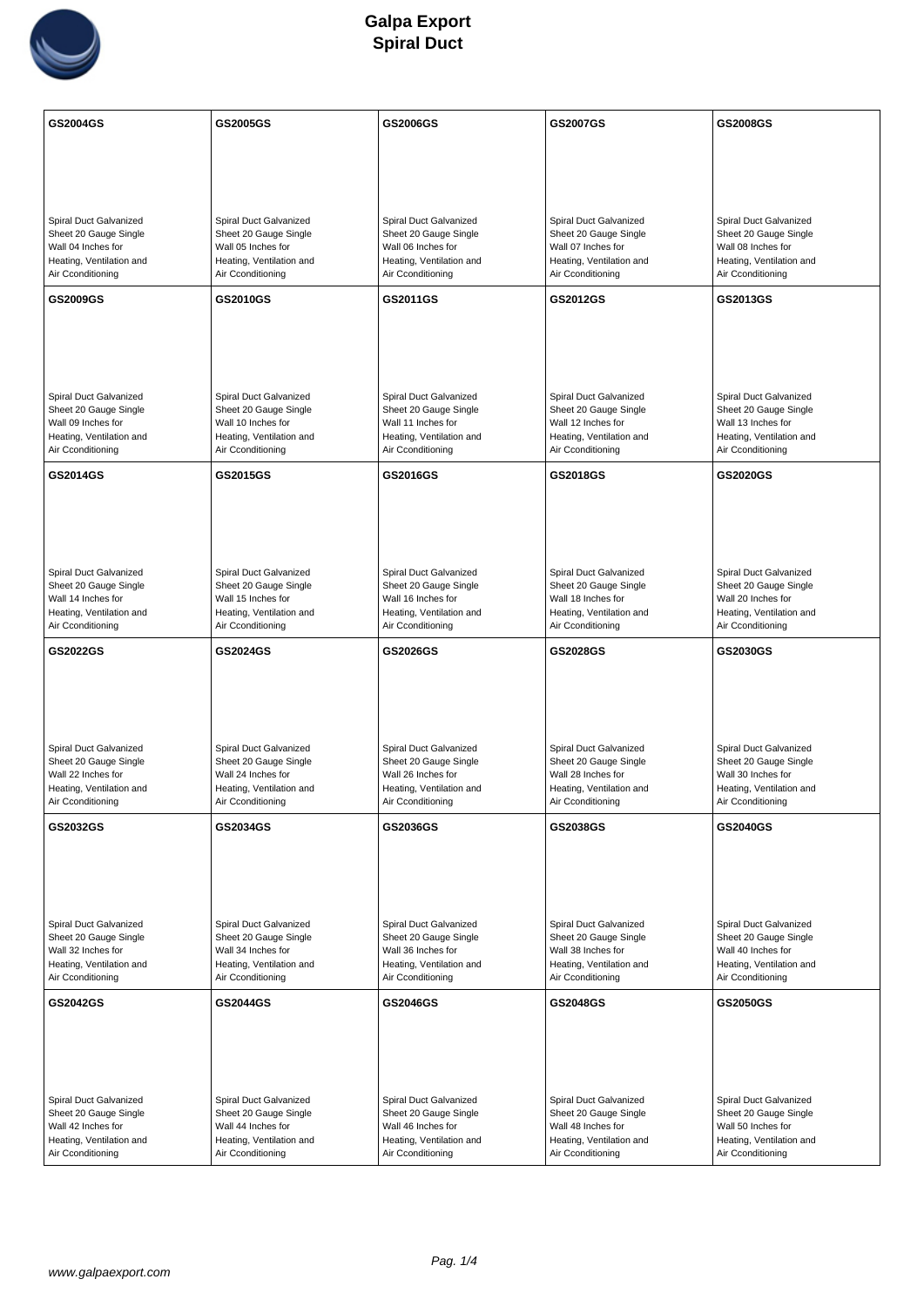

| GS2004GS                                                                                                               | GS2005GS                                                                                                               | GS2006GS                                                                                                               | GS2007GS                                                                                                               | GS2008GS                                                                                                               |
|------------------------------------------------------------------------------------------------------------------------|------------------------------------------------------------------------------------------------------------------------|------------------------------------------------------------------------------------------------------------------------|------------------------------------------------------------------------------------------------------------------------|------------------------------------------------------------------------------------------------------------------------|
|                                                                                                                        |                                                                                                                        |                                                                                                                        |                                                                                                                        |                                                                                                                        |
|                                                                                                                        |                                                                                                                        |                                                                                                                        |                                                                                                                        |                                                                                                                        |
| Spiral Duct Galvanized<br>Sheet 20 Gauge Single<br>Wall 04 Inches for<br>Heating, Ventilation and<br>Air Cconditioning | Spiral Duct Galvanized<br>Sheet 20 Gauge Single<br>Wall 05 Inches for<br>Heating, Ventilation and<br>Air Cconditioning | Spiral Duct Galvanized<br>Sheet 20 Gauge Single<br>Wall 06 Inches for<br>Heating, Ventilation and<br>Air Cconditioning | Spiral Duct Galvanized<br>Sheet 20 Gauge Single<br>Wall 07 Inches for<br>Heating, Ventilation and<br>Air Cconditioning | Spiral Duct Galvanized<br>Sheet 20 Gauge Single<br>Wall 08 Inches for<br>Heating, Ventilation and<br>Air Cconditioning |
| GS2009GS                                                                                                               | GS2010GS                                                                                                               | GS2011GS                                                                                                               | GS2012GS                                                                                                               | GS2013GS                                                                                                               |
| Spiral Duct Galvanized<br>Sheet 20 Gauge Single<br>Wall 09 Inches for<br>Heating, Ventilation and<br>Air Cconditioning | Spiral Duct Galvanized<br>Sheet 20 Gauge Single<br>Wall 10 Inches for<br>Heating, Ventilation and<br>Air Cconditioning | Spiral Duct Galvanized<br>Sheet 20 Gauge Single<br>Wall 11 Inches for<br>Heating, Ventilation and<br>Air Cconditioning | Spiral Duct Galvanized<br>Sheet 20 Gauge Single<br>Wall 12 Inches for<br>Heating, Ventilation and<br>Air Cconditioning | Spiral Duct Galvanized<br>Sheet 20 Gauge Single<br>Wall 13 Inches for<br>Heating, Ventilation and<br>Air Cconditioning |
| GS2014GS                                                                                                               | GS2015GS                                                                                                               | GS2016GS                                                                                                               | GS2018GS                                                                                                               | GS2020GS                                                                                                               |
| Spiral Duct Galvanized<br>Sheet 20 Gauge Single<br>Wall 14 Inches for<br>Heating, Ventilation and<br>Air Cconditioning | Spiral Duct Galvanized<br>Sheet 20 Gauge Single<br>Wall 15 Inches for<br>Heating, Ventilation and<br>Air Cconditioning | Spiral Duct Galvanized<br>Sheet 20 Gauge Single<br>Wall 16 Inches for<br>Heating, Ventilation and<br>Air Cconditioning | Spiral Duct Galvanized<br>Sheet 20 Gauge Single<br>Wall 18 Inches for<br>Heating, Ventilation and<br>Air Cconditioning | Spiral Duct Galvanized<br>Sheet 20 Gauge Single<br>Wall 20 Inches for<br>Heating, Ventilation and<br>Air Cconditioning |
| GS2022GS                                                                                                               | GS2024GS                                                                                                               | GS2026GS                                                                                                               | GS2028GS                                                                                                               | GS2030GS                                                                                                               |
| Spiral Duct Galvanized<br>Sheet 20 Gauge Single<br>Wall 22 Inches for<br>Heating, Ventilation and<br>Air Cconditioning | Spiral Duct Galvanized<br>Sheet 20 Gauge Single<br>Wall 24 Inches for<br>Heating, Ventilation and<br>Air Cconditioning | Spiral Duct Galvanized<br>Sheet 20 Gauge Single<br>Wall 26 Inches for<br>Heating, Ventilation and<br>Air Cconditioning | Spiral Duct Galvanized<br>Sheet 20 Gauge Single<br>Wall 28 Inches for<br>Heating, Ventilation and<br>Air Cconditioning | Spiral Duct Galvanized<br>Sheet 20 Gauge Single<br>Wall 30 Inches for<br>Heating, Ventilation and<br>Air Cconditioning |
| GS2032GS                                                                                                               | GS2034GS                                                                                                               | GS2036GS                                                                                                               | GS2038GS                                                                                                               | GS2040GS                                                                                                               |
| Spiral Duct Galvanized<br>Sheet 20 Gauge Single<br>Wall 32 Inches for<br>Heating, Ventilation and<br>Air Cconditioning | Spiral Duct Galvanized<br>Sheet 20 Gauge Single<br>Wall 34 Inches for<br>Heating, Ventilation and<br>Air Cconditioning | Spiral Duct Galvanized<br>Sheet 20 Gauge Single<br>Wall 36 Inches for<br>Heating, Ventilation and<br>Air Cconditioning | Spiral Duct Galvanized<br>Sheet 20 Gauge Single<br>Wall 38 Inches for<br>Heating, Ventilation and<br>Air Cconditioning | Spiral Duct Galvanized<br>Sheet 20 Gauge Single<br>Wall 40 Inches for<br>Heating, Ventilation and<br>Air Cconditioning |
| GS2042GS                                                                                                               | GS2044GS                                                                                                               | GS2046GS                                                                                                               | GS2048GS                                                                                                               | GS2050GS                                                                                                               |
| Spiral Duct Galvanized<br>Sheet 20 Gauge Single<br>Wall 42 Inches for<br>Heating, Ventilation and<br>Air Cconditioning | Spiral Duct Galvanized<br>Sheet 20 Gauge Single<br>Wall 44 Inches for<br>Heating, Ventilation and<br>Air Cconditioning | Spiral Duct Galvanized<br>Sheet 20 Gauge Single<br>Wall 46 Inches for<br>Heating, Ventilation and<br>Air Cconditioning | Spiral Duct Galvanized<br>Sheet 20 Gauge Single<br>Wall 48 Inches for<br>Heating, Ventilation and<br>Air Cconditioning | Spiral Duct Galvanized<br>Sheet 20 Gauge Single<br>Wall 50 Inches for<br>Heating, Ventilation and<br>Air Cconditioning |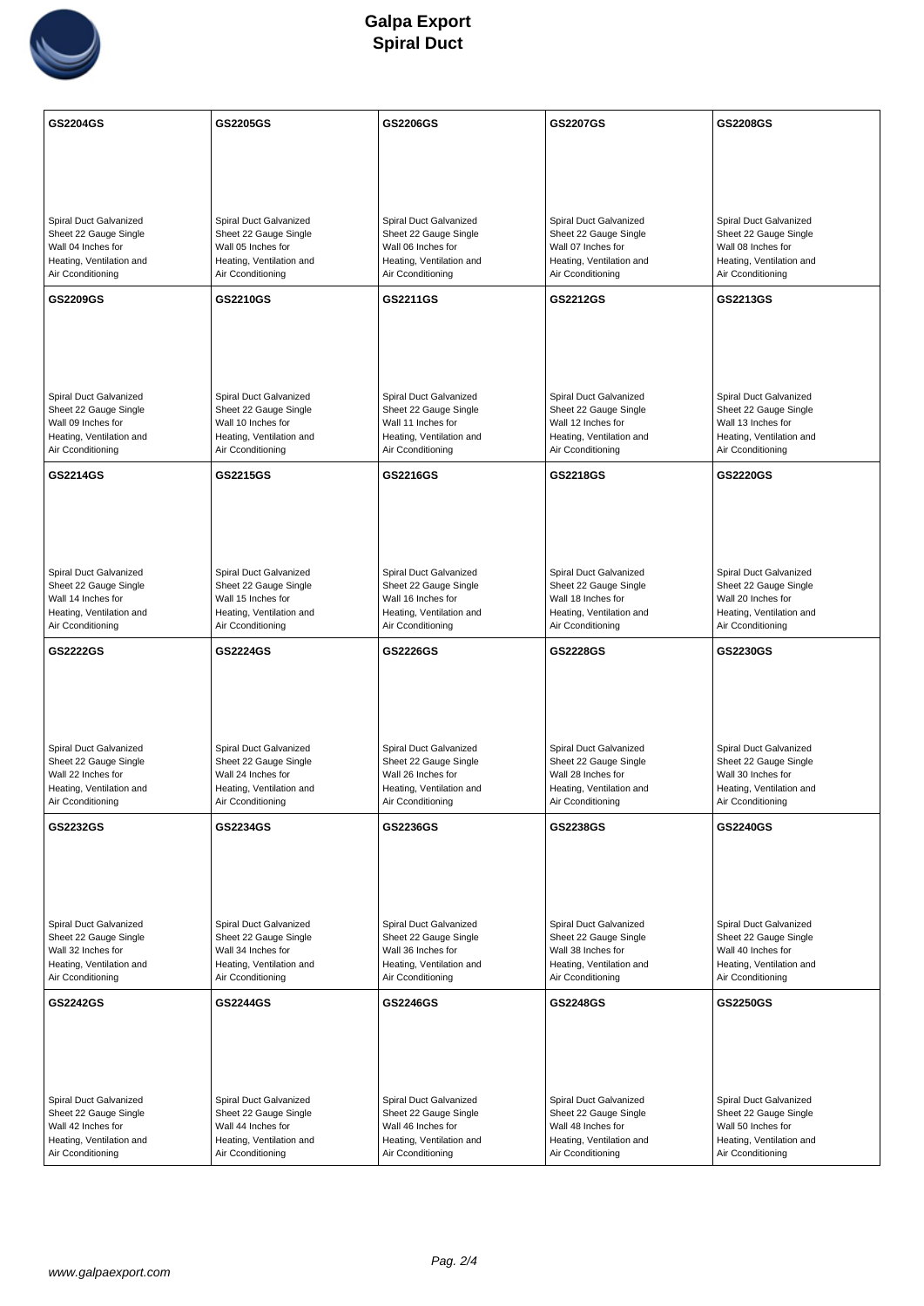

| GS2204GS                                                                                                               | GS2205GS                                                                                                               | GS2206GS                                                                                                               | GS2207GS                                                                                                               | GS2208GS                                                                                                               |
|------------------------------------------------------------------------------------------------------------------------|------------------------------------------------------------------------------------------------------------------------|------------------------------------------------------------------------------------------------------------------------|------------------------------------------------------------------------------------------------------------------------|------------------------------------------------------------------------------------------------------------------------|
|                                                                                                                        |                                                                                                                        |                                                                                                                        |                                                                                                                        |                                                                                                                        |
|                                                                                                                        |                                                                                                                        |                                                                                                                        |                                                                                                                        |                                                                                                                        |
| Spiral Duct Galvanized<br>Sheet 22 Gauge Single<br>Wall 04 Inches for<br>Heating, Ventilation and<br>Air Cconditioning | Spiral Duct Galvanized<br>Sheet 22 Gauge Single<br>Wall 05 Inches for<br>Heating, Ventilation and<br>Air Cconditioning | Spiral Duct Galvanized<br>Sheet 22 Gauge Single<br>Wall 06 Inches for<br>Heating, Ventilation and<br>Air Cconditioning | Spiral Duct Galvanized<br>Sheet 22 Gauge Single<br>Wall 07 Inches for<br>Heating, Ventilation and<br>Air Cconditioning | Spiral Duct Galvanized<br>Sheet 22 Gauge Single<br>Wall 08 Inches for<br>Heating, Ventilation and<br>Air Cconditioning |
| GS2209GS                                                                                                               | GS2210GS                                                                                                               | GS2211GS                                                                                                               | GS2212GS                                                                                                               | GS2213GS                                                                                                               |
| Spiral Duct Galvanized<br>Sheet 22 Gauge Single<br>Wall 09 Inches for<br>Heating, Ventilation and<br>Air Cconditioning | Spiral Duct Galvanized<br>Sheet 22 Gauge Single<br>Wall 10 Inches for<br>Heating, Ventilation and<br>Air Cconditioning | Spiral Duct Galvanized<br>Sheet 22 Gauge Single<br>Wall 11 Inches for<br>Heating, Ventilation and<br>Air Cconditioning | Spiral Duct Galvanized<br>Sheet 22 Gauge Single<br>Wall 12 Inches for<br>Heating, Ventilation and<br>Air Cconditioning | Spiral Duct Galvanized<br>Sheet 22 Gauge Single<br>Wall 13 Inches for<br>Heating, Ventilation and<br>Air Cconditioning |
| GS2214GS                                                                                                               | GS2215GS                                                                                                               | GS2216GS                                                                                                               | GS2218GS                                                                                                               | GS2220GS                                                                                                               |
| Spiral Duct Galvanized<br>Sheet 22 Gauge Single<br>Wall 14 Inches for<br>Heating, Ventilation and<br>Air Cconditioning | Spiral Duct Galvanized<br>Sheet 22 Gauge Single<br>Wall 15 Inches for<br>Heating, Ventilation and<br>Air Cconditioning | Spiral Duct Galvanized<br>Sheet 22 Gauge Single<br>Wall 16 Inches for<br>Heating, Ventilation and<br>Air Cconditioning | Spiral Duct Galvanized<br>Sheet 22 Gauge Single<br>Wall 18 Inches for<br>Heating, Ventilation and<br>Air Cconditioning | Spiral Duct Galvanized<br>Sheet 22 Gauge Single<br>Wall 20 Inches for<br>Heating, Ventilation and<br>Air Cconditioning |
| GS2222GS                                                                                                               | GS2224GS                                                                                                               | <b>GS2226GS</b>                                                                                                        | GS2228GS                                                                                                               | GS2230GS                                                                                                               |
| Spiral Duct Galvanized<br>Sheet 22 Gauge Single<br>Wall 22 Inches for<br>Heating, Ventilation and<br>Air Cconditioning | Spiral Duct Galvanized<br>Sheet 22 Gauge Single<br>Wall 24 Inches for<br>Heating, Ventilation and<br>Air Cconditioning | Spiral Duct Galvanized<br>Sheet 22 Gauge Single<br>Wall 26 Inches for<br>Heating, Ventilation and<br>Air Cconditioning | Spiral Duct Galvanized<br>Sheet 22 Gauge Single<br>Wall 28 Inches for<br>Heating, Ventilation and<br>Air Cconditioning | Spiral Duct Galvanized<br>Sheet 22 Gauge Single<br>Wall 30 Inches for<br>Heating, Ventilation and<br>Air Cconditioning |
| GS2232GS                                                                                                               | GS2234GS                                                                                                               | GS2236GS                                                                                                               | GS2238GS                                                                                                               | GS2240GS                                                                                                               |
| Spiral Duct Galvanized<br>Sheet 22 Gauge Single<br>Wall 32 Inches for<br>Heating, Ventilation and<br>Air Cconditioning | Spiral Duct Galvanized<br>Sheet 22 Gauge Single<br>Wall 34 Inches for<br>Heating, Ventilation and<br>Air Cconditioning | Spiral Duct Galvanized<br>Sheet 22 Gauge Single<br>Wall 36 Inches for<br>Heating, Ventilation and<br>Air Cconditioning | Spiral Duct Galvanized<br>Sheet 22 Gauge Single<br>Wall 38 Inches for<br>Heating, Ventilation and<br>Air Cconditioning | Spiral Duct Galvanized<br>Sheet 22 Gauge Single<br>Wall 40 Inches for<br>Heating, Ventilation and<br>Air Cconditioning |
| GS2242GS                                                                                                               | <b>GS2244GS</b>                                                                                                        | GS2246GS                                                                                                               | GS2248GS                                                                                                               | GS2250GS                                                                                                               |
| Spiral Duct Galvanized<br>Sheet 22 Gauge Single<br>Wall 42 Inches for<br>Heating, Ventilation and<br>Air Cconditioning | Spiral Duct Galvanized<br>Sheet 22 Gauge Single<br>Wall 44 Inches for<br>Heating, Ventilation and<br>Air Cconditioning | Spiral Duct Galvanized<br>Sheet 22 Gauge Single<br>Wall 46 Inches for<br>Heating, Ventilation and<br>Air Cconditioning | Spiral Duct Galvanized<br>Sheet 22 Gauge Single<br>Wall 48 Inches for<br>Heating, Ventilation and<br>Air Cconditioning | Spiral Duct Galvanized<br>Sheet 22 Gauge Single<br>Wall 50 Inches for<br>Heating, Ventilation and<br>Air Cconditioning |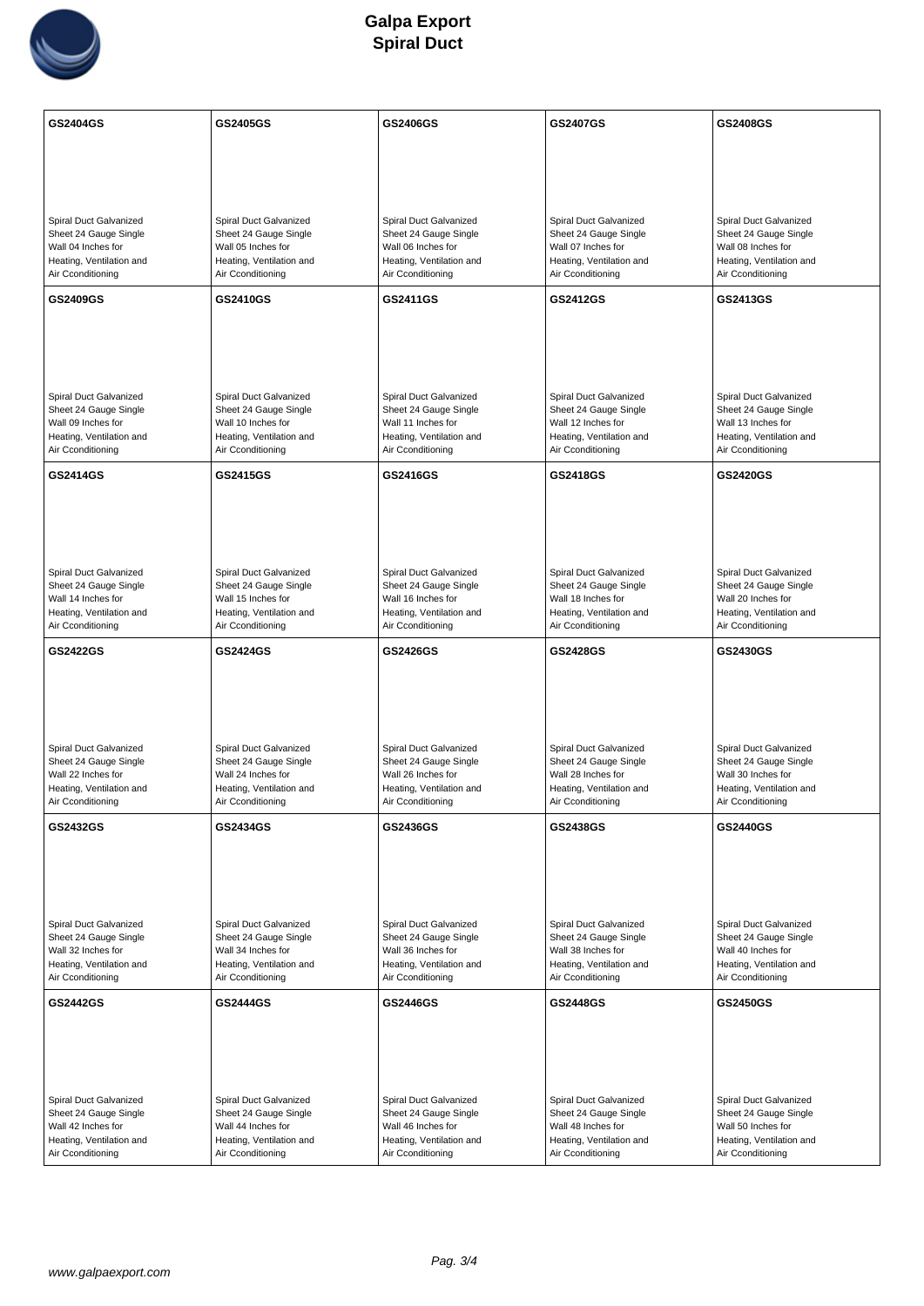

| GS2404GS                                                                                                               | GS2405GS                                                                                                               | GS2406GS                                                                                                               | GS2407GS                                                                                                               | GS2408GS                                                                                                               |
|------------------------------------------------------------------------------------------------------------------------|------------------------------------------------------------------------------------------------------------------------|------------------------------------------------------------------------------------------------------------------------|------------------------------------------------------------------------------------------------------------------------|------------------------------------------------------------------------------------------------------------------------|
|                                                                                                                        |                                                                                                                        |                                                                                                                        |                                                                                                                        |                                                                                                                        |
|                                                                                                                        |                                                                                                                        |                                                                                                                        |                                                                                                                        |                                                                                                                        |
| Spiral Duct Galvanized<br>Sheet 24 Gauge Single<br>Wall 04 Inches for<br>Heating, Ventilation and<br>Air Cconditioning | Spiral Duct Galvanized<br>Sheet 24 Gauge Single<br>Wall 05 Inches for<br>Heating, Ventilation and<br>Air Cconditioning | Spiral Duct Galvanized<br>Sheet 24 Gauge Single<br>Wall 06 Inches for<br>Heating, Ventilation and<br>Air Cconditioning | Spiral Duct Galvanized<br>Sheet 24 Gauge Single<br>Wall 07 Inches for<br>Heating, Ventilation and<br>Air Cconditioning | Spiral Duct Galvanized<br>Sheet 24 Gauge Single<br>Wall 08 Inches for<br>Heating, Ventilation and<br>Air Cconditioning |
| GS2409GS                                                                                                               | GS2410GS                                                                                                               | GS2411GS                                                                                                               | GS2412GS                                                                                                               | GS2413GS                                                                                                               |
| Spiral Duct Galvanized<br>Sheet 24 Gauge Single<br>Wall 09 Inches for<br>Heating, Ventilation and<br>Air Cconditioning | Spiral Duct Galvanized<br>Sheet 24 Gauge Single<br>Wall 10 Inches for<br>Heating, Ventilation and<br>Air Cconditioning | Spiral Duct Galvanized<br>Sheet 24 Gauge Single<br>Wall 11 Inches for<br>Heating, Ventilation and<br>Air Cconditioning | Spiral Duct Galvanized<br>Sheet 24 Gauge Single<br>Wall 12 Inches for<br>Heating, Ventilation and<br>Air Cconditioning | Spiral Duct Galvanized<br>Sheet 24 Gauge Single<br>Wall 13 Inches for<br>Heating, Ventilation and<br>Air Cconditioning |
| GS2414GS                                                                                                               | GS2415GS                                                                                                               | GS2416GS                                                                                                               | GS2418GS                                                                                                               | <b>GS2420GS</b>                                                                                                        |
| Spiral Duct Galvanized<br>Sheet 24 Gauge Single<br>Wall 14 Inches for<br>Heating, Ventilation and<br>Air Cconditioning | Spiral Duct Galvanized<br>Sheet 24 Gauge Single<br>Wall 15 Inches for<br>Heating, Ventilation and<br>Air Cconditioning | Spiral Duct Galvanized<br>Sheet 24 Gauge Single<br>Wall 16 Inches for<br>Heating, Ventilation and<br>Air Cconditioning | Spiral Duct Galvanized<br>Sheet 24 Gauge Single<br>Wall 18 Inches for<br>Heating, Ventilation and<br>Air Cconditioning | Spiral Duct Galvanized<br>Sheet 24 Gauge Single<br>Wall 20 Inches for<br>Heating, Ventilation and<br>Air Cconditioning |
| GS2422GS                                                                                                               | GS2424GS                                                                                                               | GS2426GS                                                                                                               | GS2428GS                                                                                                               | GS2430GS                                                                                                               |
| Spiral Duct Galvanized<br>Sheet 24 Gauge Single<br>Wall 22 Inches for<br>Heating, Ventilation and<br>Air Cconditioning | Spiral Duct Galvanized<br>Sheet 24 Gauge Single<br>Wall 24 Inches for<br>Heating, Ventilation and<br>Air Cconditioning | Spiral Duct Galvanized<br>Sheet 24 Gauge Single<br>Wall 26 Inches for<br>Heating, Ventilation and<br>Air Cconditioning | Spiral Duct Galvanized<br>Sheet 24 Gauge Single<br>Wall 28 Inches for<br>Heating, Ventilation and<br>Air Cconditioning | Spiral Duct Galvanized<br>Sheet 24 Gauge Single<br>Wall 30 Inches for<br>Heating, Ventilation and<br>Air Cconditioning |
| GS2432GS                                                                                                               | GS2434GS                                                                                                               | GS2436GS                                                                                                               | GS2438GS                                                                                                               | GS2440GS                                                                                                               |
| Spiral Duct Galvanized<br>Sheet 24 Gauge Single<br>Wall 32 Inches for<br>Heating, Ventilation and<br>Air Cconditioning | Spiral Duct Galvanized<br>Sheet 24 Gauge Single<br>Wall 34 Inches for<br>Heating, Ventilation and<br>Air Cconditioning | Spiral Duct Galvanized<br>Sheet 24 Gauge Single<br>Wall 36 Inches for<br>Heating, Ventilation and<br>Air Cconditioning | Spiral Duct Galvanized<br>Sheet 24 Gauge Single<br>Wall 38 Inches for<br>Heating, Ventilation and<br>Air Cconditioning | Spiral Duct Galvanized<br>Sheet 24 Gauge Single<br>Wall 40 Inches for<br>Heating, Ventilation and<br>Air Cconditioning |
| GS2442GS                                                                                                               | GS2444GS                                                                                                               | GS2446GS                                                                                                               | GS2448GS                                                                                                               | GS2450GS                                                                                                               |
| Spiral Duct Galvanized<br>Sheet 24 Gauge Single<br>Wall 42 Inches for<br>Heating, Ventilation and<br>Air Cconditioning | Spiral Duct Galvanized<br>Sheet 24 Gauge Single<br>Wall 44 Inches for<br>Heating, Ventilation and<br>Air Cconditioning | Spiral Duct Galvanized<br>Sheet 24 Gauge Single<br>Wall 46 Inches for<br>Heating, Ventilation and<br>Air Cconditioning | Spiral Duct Galvanized<br>Sheet 24 Gauge Single<br>Wall 48 Inches for<br>Heating, Ventilation and<br>Air Cconditioning | Spiral Duct Galvanized<br>Sheet 24 Gauge Single<br>Wall 50 Inches for<br>Heating, Ventilation and<br>Air Cconditioning |